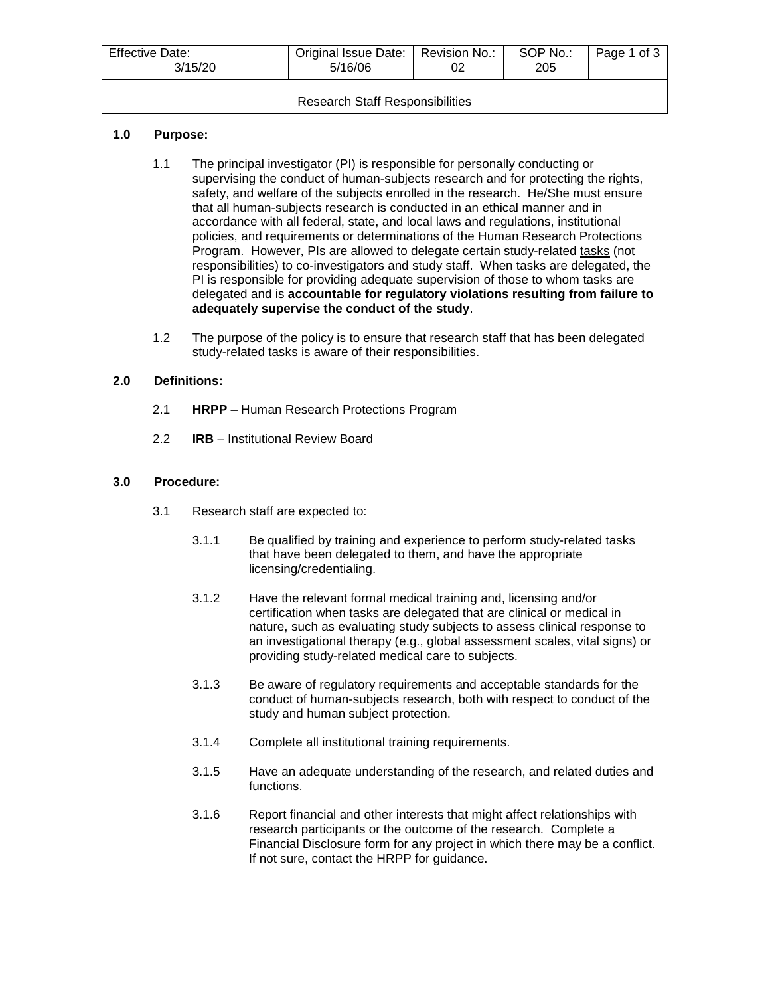| <b>Effective Date:</b><br>3/15/20      | Original Issue Date:   Revision No.:<br>5/16/06 |  | SOP No.:<br>205 | Page 1 of 3 |
|----------------------------------------|-------------------------------------------------|--|-----------------|-------------|
| <b>Research Staff Responsibilities</b> |                                                 |  |                 |             |

## **1.0 Purpose:**

- 1.1 The principal investigator (PI) is responsible for personally conducting or supervising the conduct of human-subjects research and for protecting the rights, safety, and welfare of the subjects enrolled in the research. He/She must ensure that all human-subjects research is conducted in an ethical manner and in accordance with all federal, state, and local laws and regulations, institutional policies, and requirements or determinations of the Human Research Protections Program. However, PIs are allowed to delegate certain study-related tasks (not responsibilities) to co-investigators and study staff. When tasks are delegated, the PI is responsible for providing adequate supervision of those to whom tasks are delegated and is **accountable for regulatory violations resulting from failure to adequately supervise the conduct of the study**.
- 1.2 The purpose of the policy is to ensure that research staff that has been delegated study-related tasks is aware of their responsibilities.

## **2.0 Definitions:**

- 2.1 **HRPP** Human Research Protections Program
- 2.2 **IRB** Institutional Review Board

## **3.0 Procedure:**

- 3.1 Research staff are expected to:
	- 3.1.1 Be qualified by training and experience to perform study-related tasks that have been delegated to them, and have the appropriate licensing/credentialing.
	- 3.1.2 Have the relevant formal medical training and, licensing and/or certification when tasks are delegated that are clinical or medical in nature, such as evaluating study subjects to assess clinical response to an investigational therapy (e.g., global assessment scales, vital signs) or providing study-related medical care to subjects.
	- 3.1.3 Be aware of regulatory requirements and acceptable standards for the conduct of human-subjects research, both with respect to conduct of the study and human subject protection.
	- 3.1.4 Complete all institutional training requirements.
	- 3.1.5 Have an adequate understanding of the research, and related duties and functions.
	- 3.1.6 Report financial and other interests that might affect relationships with research participants or the outcome of the research. Complete a Financial Disclosure form for any project in which there may be a conflict. If not sure, contact the HRPP for guidance.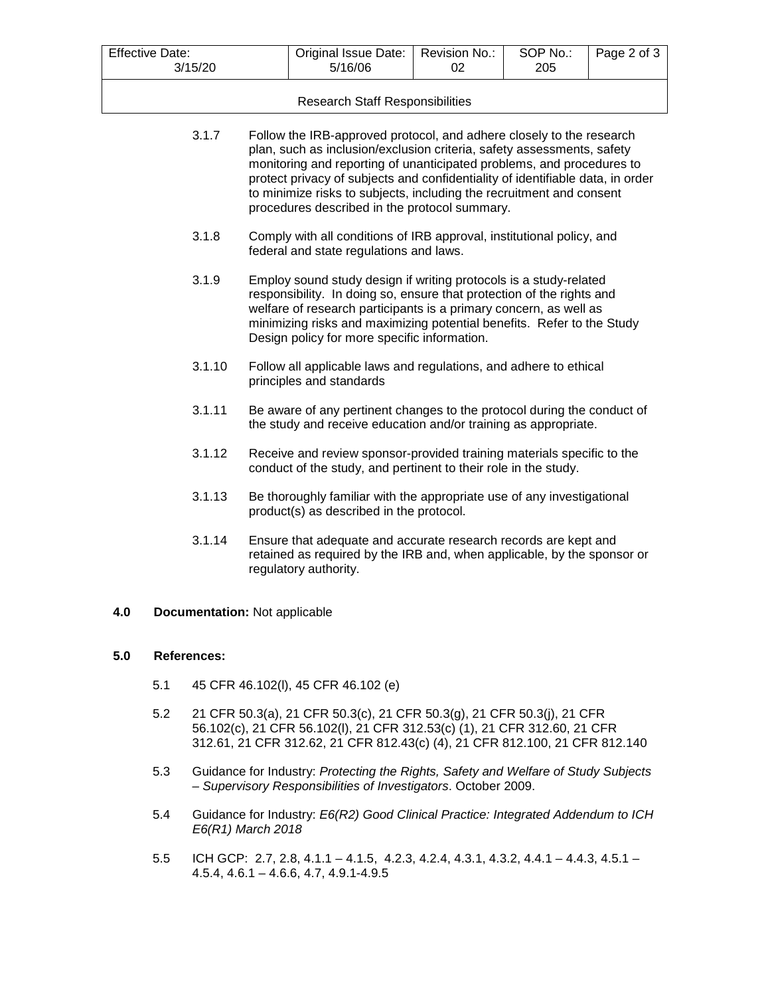| <b>Effective Date:</b><br>3/15/20 |                               |                                                                                                                                                                                                                                                                                                                                                                                                                                    | Original Issue Date:<br>5/16/06                                                                                                                                     | Revision No.:<br>02 | SOP No.:<br>205 | Page 2 of 3 |
|-----------------------------------|-------------------------------|------------------------------------------------------------------------------------------------------------------------------------------------------------------------------------------------------------------------------------------------------------------------------------------------------------------------------------------------------------------------------------------------------------------------------------|---------------------------------------------------------------------------------------------------------------------------------------------------------------------|---------------------|-----------------|-------------|
|                                   |                               |                                                                                                                                                                                                                                                                                                                                                                                                                                    | <b>Research Staff Responsibilities</b>                                                                                                                              |                     |                 |             |
|                                   | 3.1.7                         | Follow the IRB-approved protocol, and adhere closely to the research<br>plan, such as inclusion/exclusion criteria, safety assessments, safety<br>monitoring and reporting of unanticipated problems, and procedures to<br>protect privacy of subjects and confidentiality of identifiable data, in order<br>to minimize risks to subjects, including the recruitment and consent<br>procedures described in the protocol summary. |                                                                                                                                                                     |                     |                 |             |
|                                   | 3.1.8                         | Comply with all conditions of IRB approval, institutional policy, and<br>federal and state regulations and laws.                                                                                                                                                                                                                                                                                                                   |                                                                                                                                                                     |                     |                 |             |
|                                   | 3.1.9                         | Employ sound study design if writing protocols is a study-related<br>responsibility. In doing so, ensure that protection of the rights and<br>welfare of research participants is a primary concern, as well as<br>minimizing risks and maximizing potential benefits. Refer to the Study<br>Design policy for more specific information.                                                                                          |                                                                                                                                                                     |                     |                 |             |
|                                   | 3.1.10                        | Follow all applicable laws and regulations, and adhere to ethical<br>principles and standards                                                                                                                                                                                                                                                                                                                                      |                                                                                                                                                                     |                     |                 |             |
|                                   | 3.1.11                        | Be aware of any pertinent changes to the protocol during the conduct of<br>the study and receive education and/or training as appropriate.                                                                                                                                                                                                                                                                                         |                                                                                                                                                                     |                     |                 |             |
|                                   | 3.1.12                        | Receive and review sponsor-provided training materials specific to the<br>conduct of the study, and pertinent to their role in the study.                                                                                                                                                                                                                                                                                          |                                                                                                                                                                     |                     |                 |             |
|                                   | 3.1.13                        |                                                                                                                                                                                                                                                                                                                                                                                                                                    | Be thoroughly familiar with the appropriate use of any investigational<br>product(s) as described in the protocol.                                                  |                     |                 |             |
|                                   | 3.1.14                        |                                                                                                                                                                                                                                                                                                                                                                                                                                    | Ensure that adequate and accurate research records are kept and<br>retained as required by the IRB and, when applicable, by the sponsor or<br>regulatory authority. |                     |                 |             |
| 4.0                               | Documentation: Not applicable |                                                                                                                                                                                                                                                                                                                                                                                                                                    |                                                                                                                                                                     |                     |                 |             |
| 5.0                               | <b>References:</b>            |                                                                                                                                                                                                                                                                                                                                                                                                                                    |                                                                                                                                                                     |                     |                 |             |
|                                   | 5.1                           |                                                                                                                                                                                                                                                                                                                                                                                                                                    | 45 CFR 46.102(I), 45 CFR 46.102 (e)                                                                                                                                 |                     |                 |             |

- 5.2 21 CFR 50.3(a), 21 CFR 50.3(c), 21 CFR 50.3(g), 21 CFR 50.3(j), 21 CFR 56.102(c), 21 CFR 56.102(l), 21 CFR 312.53(c) (1), 21 CFR 312.60, 21 CFR 312.61, 21 CFR 312.62, 21 CFR 812.43(c) (4), 21 CFR 812.100, 21 CFR 812.140
- 5.3 Guidance for Industry: *Protecting the Rights, Safety and Welfare of Study Subjects – Supervisory Responsibilities of Investigators*. October 2009.
- 5.4 Guidance for Industry: *E6(R2) Good Clinical Practice: Integrated Addendum to ICH E6(R1) March 2018*
- 5.5 ICH GCP: 2.7, 2.8, 4.1.1 4.1.5, 4.2.3, 4.2.4, 4.3.1, 4.3.2, 4.4.1 4.4.3, 4.5.1 4.5.4, 4.6.1 – 4.6.6, 4.7, 4.9.1-4.9.5